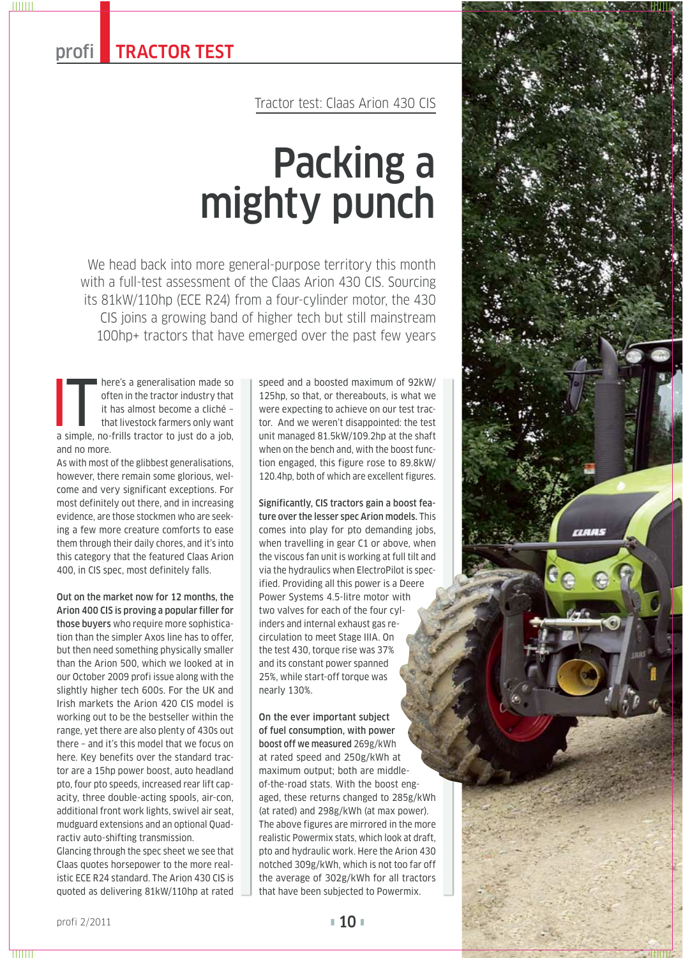profi **TRACTOR TEST** 

 $\mathbf{H}\mathbf{H}$ 

Tractor test: Claas Arion 430 CIS

# Packing a mighty punch

We head back into more general-purpose territory this month with a full-test assessment of the Claas Arion 430 CIS. Sourcing its 81kW/110hp (ECE R24) from a four-cylinder motor, the 430 CIS joins a growing band of higher tech but still mainstream 100hp+ tractors that have emerged over the past few years

IT here's a generalisation made so often in the tractor industry that it has almost become a cliché – that livestock farmers only want a simple, no-frills tractor to just do a job, and no more.

As with most of the glibbest generalisations, however, there remain some glorious, welcome and very significant exceptions. For most definitely out there, and in increasing evidence, are those stockmen who are seeking a few more creature comforts to ease them through their daily chores, and it's into this category that the featured Claas Arion 400, in CIS spec, most definitely falls.

Out on the market now for 12 months, the Arion 400 CIS is proving a popular filler for those buyers who require more sophistication than the simpler Axos line has to offer, but then need something physically smaller than the Arion 500, which we looked at in our October 2009 profi issue along with the slightly higher tech 600s. For the UK and Irish markets the Arion 420 CIS model is working out to be the bestseller within the range, yet there are also plenty of 430s out there – and it's this model that we focus on here. Key benefits over the standard tractor are a 15hp power boost, auto headland pto, four pto speeds, increased rear lift capacity, three double-acting spools, air-con, additional front work lights, swivel air seat, mudguard extensions and an optional Quadractiv auto-shifting transmission.

Glancing through the spec sheet we see that Claas quotes horsepower to the more realistic ECE R24 standard. The Arion 430 CIS is quoted as delivering 81kW/110hp at rated

speed and a boosted maximum of 92kW/ 125hp, so that, or thereabouts, is what we were expecting to achieve on our test tractor. And we weren't disappointed: the test unit managed 81.5kW/109.2hp at the shaft when on the bench and, with the boost function engaged, this figure rose to 89.8kW/ 120.4hp, both of which are excellent figures.

Significantly, CIS tractors gain a boost feature over the lesser spec Arion models. This comes into play for pto demanding jobs, when travelling in gear C1 or above, when the viscous fan unit is working at full tilt and via the hydraulics when ElectroPilot is specified. Providing all this power is a Deere Power Systems 4.5-litre motor with two valves for each of the four cylinders and internal exhaust gas recirculation to meet Stage IIIA. On the test 430, torque rise was 37% and its constant power spanned 25%, while start-off torque was nearly 130%.

On the ever important subject of fuel consumption, with power boost off we measured 269g/kWh at rated speed and 250g/kWh at maximum output; both are middleof-the-road stats. With the boost engaged, these returns changed to 285g/kWh (at rated) and 298g/kWh (at max power). The above figures are mirrored in the more realistic Powermix stats, which look at draft, pto and hydraulic work. Here the Arion 430 notched 309g/kWh, which is not too far off the average of 302g/kWh for all tractors that have been subjected to Powermix.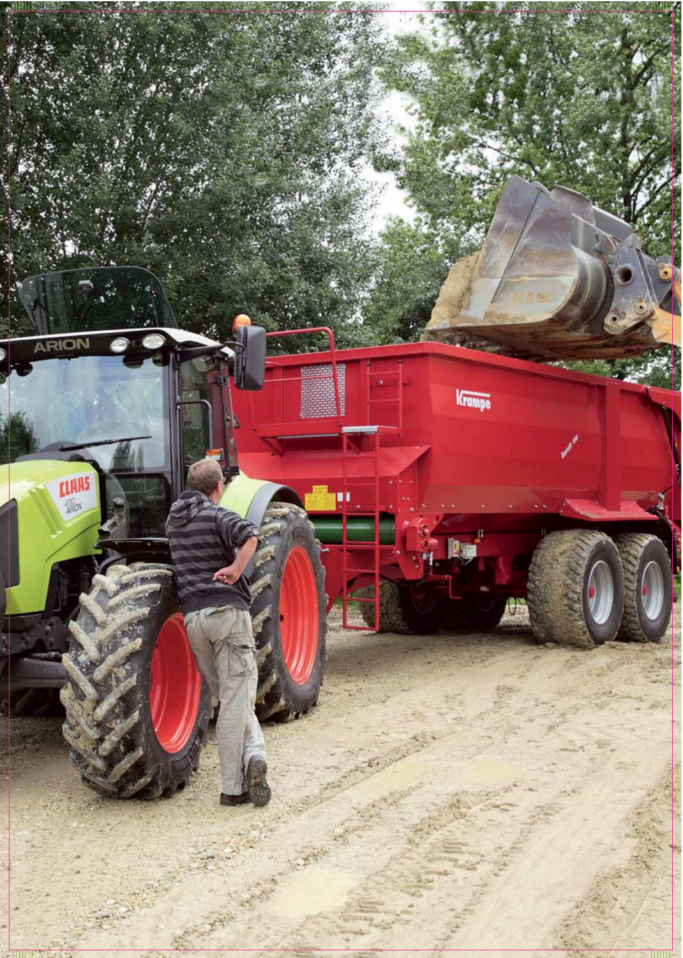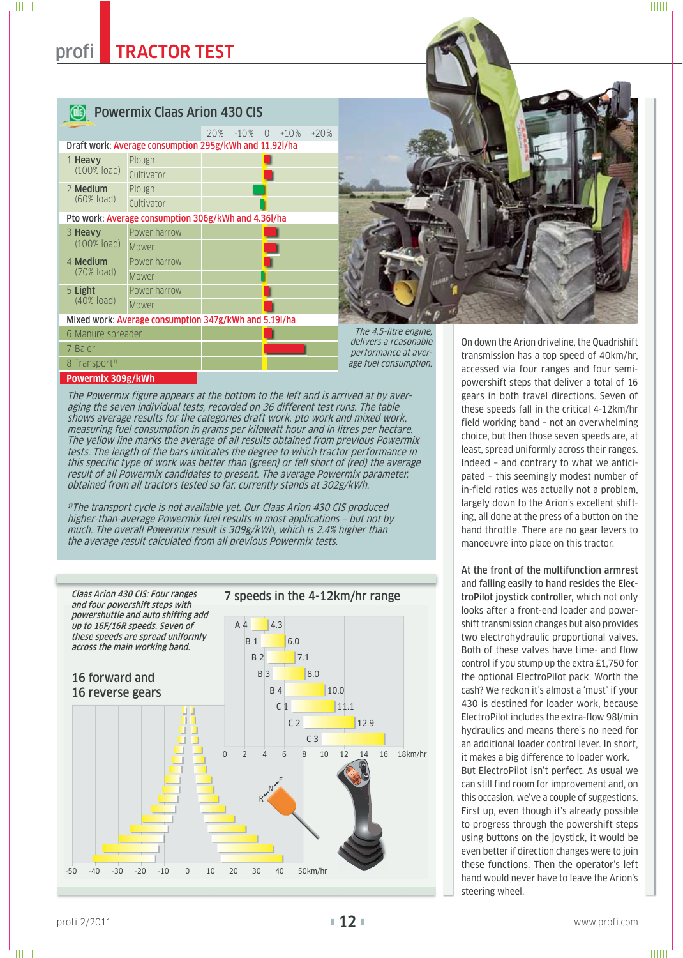# profi **TRACTOR TEST**

 $111111$ 

| <b>Powermix Claas Arion 430 CIS</b> |                                                        |        |  |  |                   |        |
|-------------------------------------|--------------------------------------------------------|--------|--|--|-------------------|--------|
|                                     |                                                        | $-20%$ |  |  | $-10\%$ 0 $+10\%$ | $+20%$ |
|                                     | Draft work: Average consumption 295g/kWh and 11.92l/ha |        |  |  |                   |        |
| 1 Heavy                             | Plough                                                 |        |  |  |                   |        |
| $(100\%$ load)                      | Cultivator                                             |        |  |  |                   |        |
| 2 Medium                            | Plough                                                 |        |  |  |                   |        |
| (60% load)                          | Cultivator                                             |        |  |  |                   |        |
|                                     | Pto work: Average consumption 306g/kWh and 4.36l/ha    |        |  |  |                   |        |
| 3 Heavy                             | Power harrow                                           |        |  |  |                   |        |
| (100% load)                         | Mower                                                  |        |  |  |                   |        |
| 4 Medium                            | Power harrow                                           |        |  |  |                   |        |
| (70% load)                          | Mower                                                  |        |  |  |                   |        |
| 5 Light                             | Power harrow                                           |        |  |  |                   |        |
| (40% load)                          | Mower                                                  |        |  |  |                   |        |
|                                     | Mixed work: Average consumption 347g/kWh and 5.19l/ha  |        |  |  |                   |        |
| 6 Manure spreader                   |                                                        |        |  |  |                   |        |
| 7 Baler                             |                                                        |        |  |  |                   |        |
| 8 Transport <sup>1)</sup>           |                                                        |        |  |  |                   |        |



The 4.5-litre engine, delivers a reasonable performance at average fuel consumption.

#### **Powermix 309g/kWh**

The Powermix figure appears at the bottom to the left and is arrived at by averaging the seven individual tests, recorded on 36 different test runs. The table shows average results for the categories draft work, pto work and mixed work, measuring fuel consumption in grams per kilowatt hour and in litres per hectare. The yellow line marks the average of all results obtained from previous Powermix tests. The length of the bars indicates the degree to which tractor performance in this specific type of work was better than (green) or fell short of (red) the average result of all Powermix candidates to present. The average Powermix parameter, obtained from all tractors tested so far, currently stands at 302g/kWh.

<sup>1)</sup>The transport cycle is not available yet. Our Claas Arion 430 CIS produced higher-than-average Powermix fuel results in most applications – but not by much. The overall Powermix result is 309g/kWh, which is 2.4% higher than the average result calculated from all previous Powermix tests.



On down the Arion driveline, the Quadrishift transmission has a top speed of 40km/hr, accessed via four ranges and four semipowershift steps that deliver a total of 16 gears in both travel directions. Seven of these speeds fall in the critical 4-12km/hr field working band – not an overwhelming choice, but then those seven speeds are, at least, spread uniformly across their ranges. Indeed – and contrary to what we anticipated – this seemingly modest number of in-field ratios was actually not a problem, largely down to the Arion's excellent shifting, all done at the press of a button on the hand throttle. There are no gear levers to manoeuvre into place on this tractor.

 $111111$ 

At the front of the multifunction armrest and falling easily to hand resides the ElectroPilot joystick controller, which not only looks after a front-end loader and powershift transmission changes but also provides two electrohydraulic proportional valves. Both of these valves have time- and flow control if you stump up the extra £1,750 for the optional ElectroPilot pack. Worth the cash? We reckon it's almost a 'must' if your 430 is destined for loader work, because ElectroPilot includes the extra-flow 98l/min hydraulics and means there's no need for an additional loader control lever. In short, it makes a big difference to loader work. But ElectroPilot isn't perfect. As usual we can still find room for improvement and, on this occasion, we've a couple of suggestions. First up, even though it's already possible to progress through the powershift steps using buttons on the joystick, it would be even better if direction changes were to join these functions. Then the operator's left hand would never have to leave the Arion's steering wheel.

TITTI

**TITLE**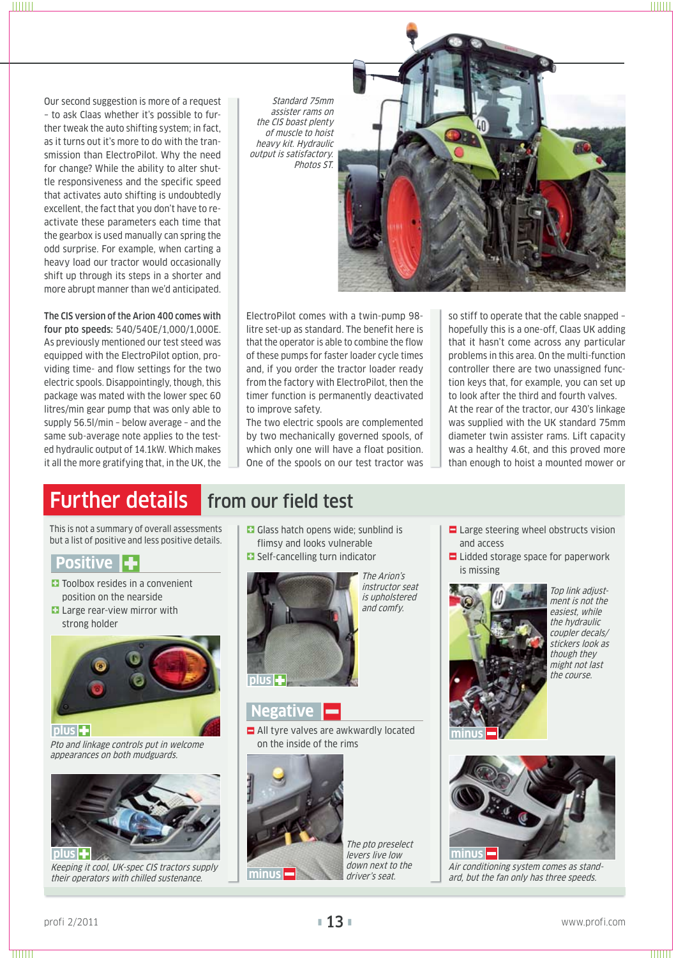Our second suggestion is more of a request – to ask Claas whether it's possible to further tweak the auto shifting system; in fact, as it turns out it's more to do with the transmission than ElectroPilot. Why the need for change? While the ability to alter shuttle responsiveness and the specific speed that activates auto shifting is undoubtedly excellent, the fact that you don't have to reactivate these parameters each time that the gearbox is used manually can spring the odd surprise. For example, when carting a heavy load our tractor would occasionally shift up through its steps in a shorter and more abrupt manner than we'd anticipated.

The CIS version of the Arion 400 comes with four pto speeds: 540/540E/1,000/1,000E. As previously mentioned our test steed was equipped with the ElectroPilot option, providing time- and flow settings for the two electric spools. Disappointingly, though, this package was mated with the lower spec 60 litres/min gear pump that was only able to supply 56.5l/min – below average – and the same sub-average note applies to the tested hydraulic output of 14.1kW. Which makes it all the more gratifying that, in the UK, the

Standard 75mm assister rams on the CIS boast plenty of muscle to hoist heavy kit. Hydraulic output is satisfactory. Photos ST.



ElectroPilot comes with a twin-pump 98 litre set-up as standard. The benefit here is that the operator is able to combine the flow of these pumps for faster loader cycle times and, if you order the tractor loader ready from the factory with ElectroPilot, then the timer function is permanently deactivated to improve safety.

The two electric spools are complemented by two mechanically governed spools, of which only one will have a float position. One of the spools on our test tractor was so stiff to operate that the cable snapped – hopefully this is a one-off, Claas UK adding that it hasn't come across any particular problems in this area. On the multi-function controller there are two unassigned function keys that, for example, you can set up to look after the third and fourth valves. At the rear of the tractor, our 430's linkage was supplied with the UK standard 75mm diameter twin assister rams. Lift capacity was a healthy 4.6t, and this proved more than enough to hoist a mounted mower or

This is not a summary of overall assessments but a list of positive and less positive details.

### **Positive 14**

- **B** Toolbox resides in a convenient position on the nearside
- **B** Large rear-view mirror with strong holder



**plus** Pto and linkage controls put in welcome appearances on both mudguards.



Keeping it cool, UK-spec CIS tractors supply their operators with chilled sustenance.

- **Further details** from our field test
	- **B** Glass hatch opens wide; sunblind is flimsy and looks vulnerable
	- **B** Self-cancelling turn indicator



**Negative**  $\blacksquare$ 

on the inside of the rims

**■** All tyre valves are awkwardly located

The Arion's Solid School School School School School School School School School School School School School S instructor seat is upholstered and comfy.

- $\Box$  Large steering wheel obstructs vision and access
- **■** Lidded storage space for paperwork







Air conditioning system comes as standard, but the fan only has three speeds.

TITTI

The pto preselect levers live low down next to the driver's seat.

**minus**

TITTI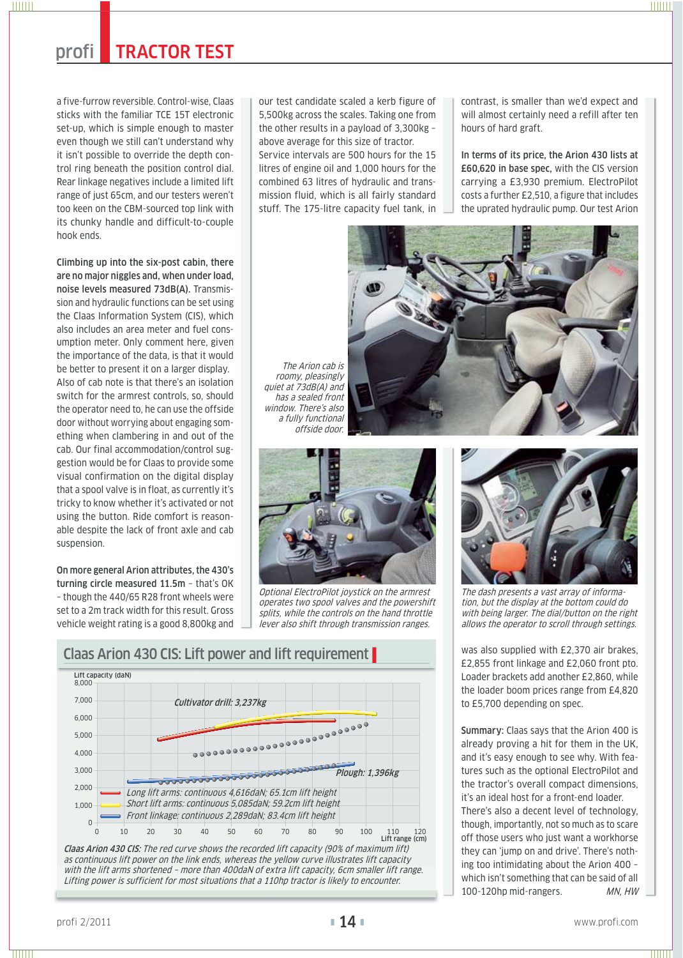## profi **TRACTOR TEST**

 $111111$ 

a five-furrow reversible. Control-wise, Claas sticks with the familiar TCE 15T electronic set-up, which is simple enough to master even though we still can't understand why it isn't possible to override the depth control ring beneath the position control dial. Rear linkage negatives include a limited lift range of just 65cm, and our testers weren't too keen on the CBM-sourced top link with its chunky handle and difficult-to-couple hook ends.

Climbing up into the six-post cabin, there are no major niggles and, when under load, noise levels measured 73dB(A). Transmission and hydraulic functions can be set using the Claas Information System (CIS), which also includes an area meter and fuel consumption meter. Only comment here, given the importance of the data, is that it would be better to present it on a larger display. Also of cab note is that there's an isolation switch for the armrest controls, so, should the operator need to, he can use the offside door without worrying about engaging something when clambering in and out of the cab. Our final accommodation/control suggestion would be for Claas to provide some visual confirmation on the digital display that a spool valve is in float, as currently it's tricky to know whether it's activated or not using the button. Ride comfort is reasonable despite the lack of front axle and cab suspension.

On more general Arion attributes, the 430's turning circle measured 11.5m – that's OK – though the 440/65 R28 front wheels were set to a 2m track width for this result. Gross vehicle weight rating is a good 8,800kg and

our test candidate scaled a kerb figure of 5,500kg across the scales. Taking one from the other results in a payload of 3,300kg – above average for this size of tractor. Service intervals are 500 hours for the 15 litres of engine oil and 1,000 hours for the combined 63 litres of hydraulic and transmission fluid, which is all fairly standard stuff. The 175-litre capacity fuel tank, in contrast, is smaller than we'd expect and will almost certainly need a refill after ten hours of hard graft.

 $111111$ 

In terms of its price, the Arion 430 lists at £60,620 in base spec, with the CIS version carrying a £3,930 premium. ElectroPilot costs a further £2,510, a figure that includes the uprated hydraulic pump. Our test Arion

The Arion cab is roomy, pleasingly quiet at 73dB(A) and has a sealed front window. There's also a fully functional offside door.





Optional ElectroPilot joystick on the armrest operates two spool valves and the powershift splits, while the controls on the hand throttle lever also shift through transmission ranges.



The dash presents a vast array of information, but the display at the bottom could do with being larger. The dial/button on the right allows the operator to scroll through settings.

was also supplied with £2,370 air brakes, £2,855 front linkage and £2,060 front pto. Loader brackets add another £2,860, while the loader boom prices range from £4,820 to £5,700 depending on spec.

Summary: Claas says that the Arion 400 is already proving a hit for them in the UK, and it's easy enough to see why. With features such as the optional ElectroPilot and the tractor's overall compact dimensions, it's an ideal host for a front-end loader. There's also a decent level of technology, though, importantly, not so much as to scare off those users who just want a workhorse they can 'jump on and drive'. There's nothing too intimidating about the Arion 400 – which isn't something that can be said of all 100-120hp mid-rangers. MN, HW

# Claas Arion 430 CIS: Lift power and lift requirement



Claas Arion 430 CIS: The red curve shows the recorded lift capacity (90% of maximum lift) as continuous lift power on the link ends, whereas the yellow curve illustrates lift capacity with the lift arms shortened - more than 400daN of extra lift capacity, 6cm smaller lift range. Lifting power is sufficient for most situations that a 110hp tractor is likely to encounter.

TITTI

TITTITTI